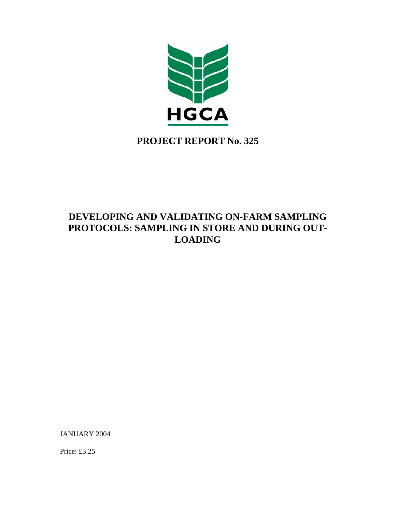

# **PROJECT REPORT No. 325**

# **DEVELOPING AND VALIDATING ON-FARM SAMPLING PROTOCOLS: SAMPLING IN STORE AND DURING OUT-LOADING**

JANUARY 2004

Price: £3.25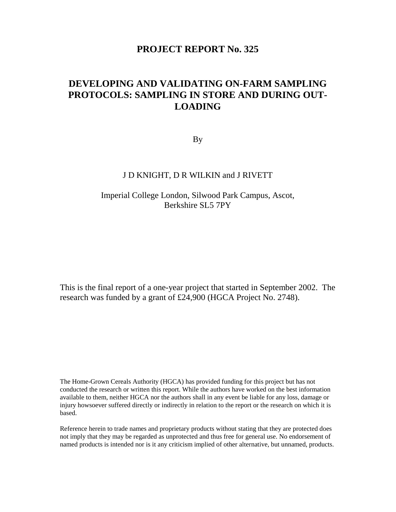# **PROJECT REPORT No. 325**

# **DEVELOPING AND VALIDATING ON-FARM SAMPLING PROTOCOLS: SAMPLING IN STORE AND DURING OUT-LOADING**

By

# J D KNIGHT, D R WILKIN and J RIVETT

# Imperial College London, Silwood Park Campus, Ascot, Berkshire SL5 7PY

This is the final report of a one-year project that started in September 2002. The research was funded by a grant of £24,900 (HGCA Project No. 2748).

The Home-Grown Cereals Authority (HGCA) has provided funding for this project but has not conducted the research or written this report. While the authors have worked on the best information available to them, neither HGCA nor the authors shall in any event be liable for any loss, damage or injury howsoever suffered directly or indirectly in relation to the report or the research on which it is based.

Reference herein to trade names and proprietary products without stating that they are protected does not imply that they may be regarded as unprotected and thus free for general use. No endorsement of named products is intended nor is it any criticism implied of other alternative, but unnamed, products.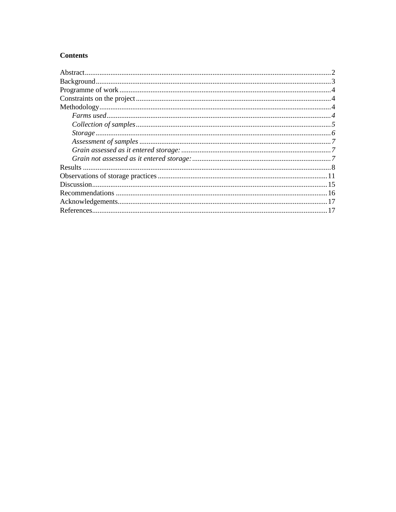# **Contents**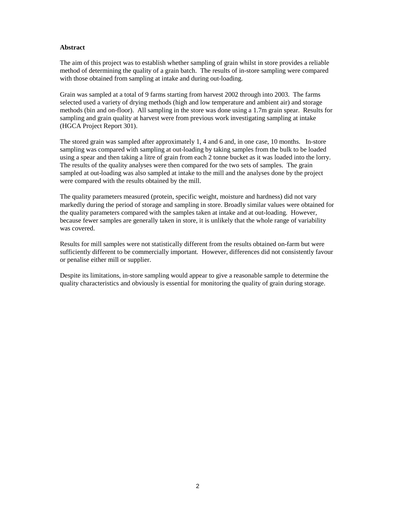# **Abstract**

The aim of this project was to establish whether sampling of grain whilst in store provides a reliable method of determining the quality of a grain batch. The results of in-store sampling were compared with those obtained from sampling at intake and during out-loading.

Grain was sampled at a total of 9 farms starting from harvest 2002 through into 2003. The farms selected used a variety of drying methods (high and low temperature and ambient air) and storage methods (bin and on-floor). All sampling in the store was done using a 1.7m grain spear. Results for sampling and grain quality at harvest were from previous work investigating sampling at intake (HGCA Project Report 301).

The stored grain was sampled after approximately 1, 4 and 6 and, in one case, 10 months. In-store sampling was compared with sampling at out-loading by taking samples from the bulk to be loaded using a spear and then taking a litre of grain from each 2 tonne bucket as it was loaded into the lorry. The results of the quality analyses were then compared for the two sets of samples. The grain sampled at out-loading was also sampled at intake to the mill and the analyses done by the project were compared with the results obtained by the mill.

The quality parameters measured (protein, specific weight, moisture and hardness) did not vary markedly during the period of storage and sampling in store. Broadly similar values were obtained for the quality parameters compared with the samples taken at intake and at out-loading. However, because fewer samples are generally taken in store, it is unlikely that the whole range of variability was covered.

Results for mill samples were not statistically different from the results obtained on-farm but were sufficiently different to be commercially important. However, differences did not consistently favour or penalise either mill or supplier.

Despite its limitations, in-store sampling would appear to give a reasonable sample to determine the quality characteristics and obviously is essential for monitoring the quality of grain during storage.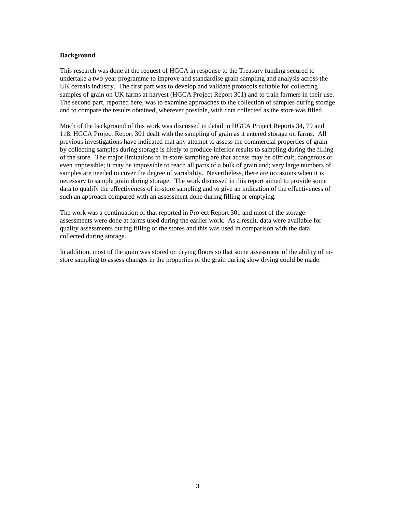# **Background**

This research was done at the request of HGCA in response to the Treasury funding secured to undertake a two-year programme to improve and standardise grain sampling and analysis across the UK cereals industry. The first part was to develop and validate protocols suitable for collecting samples of grain on UK farms at harvest (HGCA Project Report 301) and to train farmers in their use. The second part, reported here, was to examine approaches to the collection of samples during storage and to compare the results obtained, wherever possible, with data collected as the store was filled.

Much of the background of this work was discussed in detail in HGCA Project Reports 34, 79 and 118. HGCA Project Report 301 dealt with the sampling of grain as it entered storage on farms. All previous investigations have indicated that any attempt to assess the commercial properties of grain by collecting samples during storage is likely to produce inferior results to sampling during the filling of the store. The major limitations to in-store sampling are that access may be difficult, dangerous or even impossible; it may be impossible to reach all parts of a bulk of grain and; very large numbers of samples are needed to cover the degree of variability. Nevertheless, there are occasions when it is necessary to sample grain during storage. The work discussed in this report aimed to provide some data to qualify the effectiveness of in-store sampling and to give an indication of the effectiveness of such an approach compared with an assessment done during filling or emptying.

The work was a continuation of that reported in Project Report 301 and most of the storage assessments were done at farms used during the earlier work. As a result, data were available for quality assessments during filling of the stores and this was used in comparison with the data collected during storage.

In addition, most of the grain was stored on drying floors so that some assessment of the ability of instore sampling to assess changes in the properties of the grain during slow drying could be made.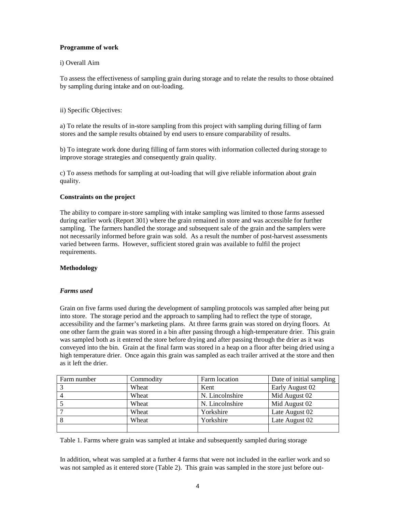# **Programme of work**

# i) Overall Aim

To assess the effectiveness of sampling grain during storage and to relate the results to those obtained by sampling during intake and on out-loading.

# ii) Specific Objectives:

a) To relate the results of in-store sampling from this project with sampling during filling of farm stores and the sample results obtained by end users to ensure comparability of results.

b) To integrate work done during filling of farm stores with information collected during storage to improve storage strategies and consequently grain quality.

c) To assess methods for sampling at out-loading that will give reliable information about grain quality.

# **Constraints on the project**

The ability to compare in-store sampling with intake sampling was limited to those farms assessed during earlier work (Report 301) where the grain remained in store and was accessible for further sampling. The farmers handled the storage and subsequent sale of the grain and the samplers were not necessarily informed before grain was sold. As a result the number of post-harvest assessments varied between farms. However, sufficient stored grain was available to fulfil the project requirements.

# **Methodology**

# *Farms used*

Grain on five farms used during the development of sampling protocols was sampled after being put into store. The storage period and the approach to sampling had to reflect the type of storage, accessibility and the farmer's marketing plans. At three farms grain was stored on drying floors. At one other farm the grain was stored in a bin after passing through a high-temperature drier. This grain was sampled both as it entered the store before drying and after passing through the drier as it was conveyed into the bin. Grain at the final farm was stored in a heap on a floor after being dried using a high temperature drier. Once again this grain was sampled as each trailer arrived at the store and then as it left the drier.

| Farm number | Commodity | Farm location   | Date of initial sampling |
|-------------|-----------|-----------------|--------------------------|
|             | Wheat     | Kent            | Early August 02          |
|             | Wheat     | N. Lincolnshire | Mid August 02            |
|             | Wheat     | N. Lincolnshire | Mid August 02            |
|             | Wheat     | Yorkshire       | Late August 02           |
|             | Wheat     | Yorkshire       | Late August 02           |
|             |           |                 |                          |

Table 1. Farms where grain was sampled at intake and subsequently sampled during storage

In addition, wheat was sampled at a further 4 farms that were not included in the earlier work and so was not sampled as it entered store (Table 2). This grain was sampled in the store just before out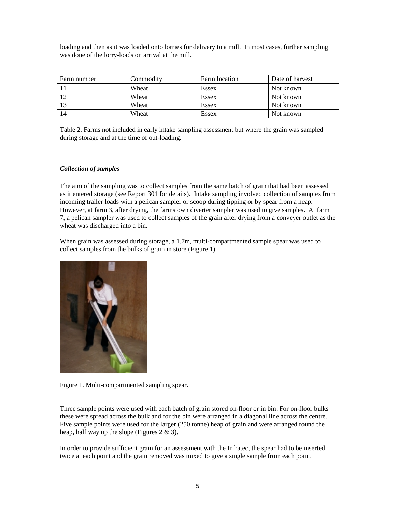loading and then as it was loaded onto lorries for delivery to a mill. In most cases, further sampling was done of the lorry-loads on arrival at the mill.

| Farm number | Commodity | Farm location | Date of harvest |
|-------------|-----------|---------------|-----------------|
|             | Wheat     | Essex         | Not known       |
| 12          | Wheat     | Essex         | Not known       |
| 13          | Wheat     | Essex         | Not known       |
| 14          | Wheat     | Essex         | Not known       |

Table 2. Farms not included in early intake sampling assessment but where the grain was sampled during storage and at the time of out-loading.

# *Collection of samples*

The aim of the sampling was to collect samples from the same batch of grain that had been assessed as it entered storage (see Report 301 for details). Intake sampling involved collection of samples from incoming trailer loads with a pelican sampler or scoop during tipping or by spear from a heap. However, at farm 3, after drying, the farms own diverter sampler was used to give samples. At farm 7, a pelican sampler was used to collect samples of the grain after drying from a conveyer outlet as the wheat was discharged into a bin.

When grain was assessed during storage, a 1.7m, multi-compartmented sample spear was used to collect samples from the bulks of grain in store (Figure 1).



Figure 1. Multi-compartmented sampling spear.

Three sample points were used with each batch of grain stored on-floor or in bin. For on-floor bulks these were spread across the bulk and for the bin were arranged in a diagonal line across the centre. Five sample points were used for the larger (250 tonne) heap of grain and were arranged round the heap, half way up the slope (Figures 2 & 3).

In order to provide sufficient grain for an assessment with the Infratec, the spear had to be inserted twice at each point and the grain removed was mixed to give a single sample from each point.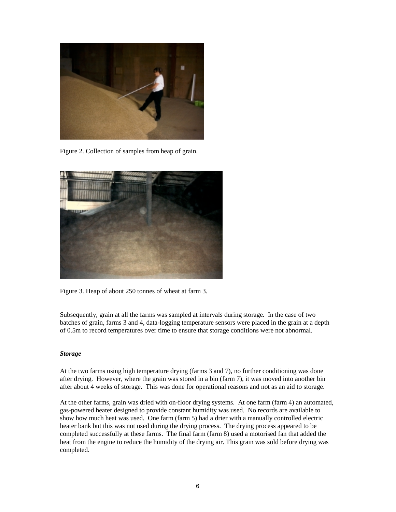

Figure 2. Collection of samples from heap of grain.



Figure 3. Heap of about 250 tonnes of wheat at farm 3.

Subsequently, grain at all the farms was sampled at intervals during storage. In the case of two batches of grain, farms 3 and 4, data-logging temperature sensors were placed in the grain at a depth of 0.5m to record temperatures over time to ensure that storage conditions were not abnormal.

#### *Storage*

At the two farms using high temperature drying (farms 3 and 7), no further conditioning was done after drying. However, where the grain was stored in a bin (farm 7), it was moved into another bin after about 4 weeks of storage. This was done for operational reasons and not as an aid to storage.

At the other farms, grain was dried with on-floor drying systems. At one farm (farm 4) an automated, gas-powered heater designed to provide constant humidity was used. No records are available to show how much heat was used. One farm (farm 5) had a drier with a manually controlled electric heater bank but this was not used during the drying process. The drying process appeared to be completed successfully at these farms. The final farm (farm 8) used a motorised fan that added the heat from the engine to reduce the humidity of the drying air. This grain was sold before drying was completed.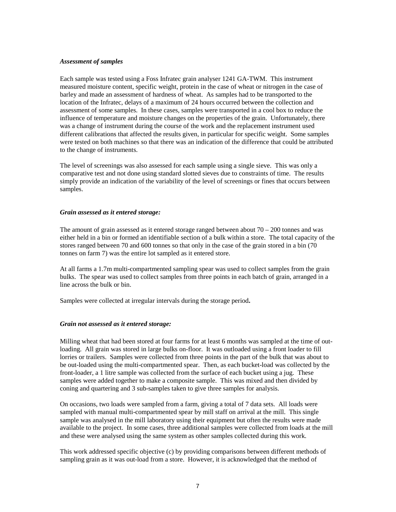#### *Assessment of samples*

Each sample was tested using a Foss Infratec grain analyser 1241 GA-TWM. This instrument measured moisture content, specific weight, protein in the case of wheat or nitrogen in the case of barley and made an assessment of hardness of wheat. As samples had to be transported to the location of the Infratec, delays of a maximum of 24 hours occurred between the collection and assessment of some samples. In these cases, samples were transported in a cool box to reduce the influence of temperature and moisture changes on the properties of the grain. Unfortunately, there was a change of instrument during the course of the work and the replacement instrument used different calibrations that affected the results given, in particular for specific weight. Some samples were tested on both machines so that there was an indication of the difference that could be attributed to the change of instruments.

The level of screenings was also assessed for each sample using a single sieve. This was only a comparative test and not done using standard slotted sieves due to constraints of time. The results simply provide an indication of the variability of the level of screenings or fines that occurs between samples.

#### *Grain assessed as it entered storage:*

The amount of grain assessed as it entered storage ranged between about  $70 - 200$  tonnes and was either held in a bin or formed an identifiable section of a bulk within a store. The total capacity of the stores ranged between 70 and 600 tonnes so that only in the case of the grain stored in a bin (70 tonnes on farm 7) was the entire lot sampled as it entered store.

At all farms a 1.7m multi-compartmented sampling spear was used to collect samples from the grain bulks. The spear was used to collect samples from three points in each batch of grain, arranged in a line across the bulk or bin.

Samples were collected at irregular intervals during the storage period**.** 

# *Grain not assessed as it entered storage:*

Milling wheat that had been stored at four farms for at least 6 months was sampled at the time of outloading. All grain was stored in large bulks on-floor. It was outloaded using a front loader to fill lorries or trailers. Samples were collected from three points in the part of the bulk that was about to be out-loaded using the multi-compartmented spear. Then, as each bucket-load was collected by the front-loader, a 1 litre sample was collected from the surface of each bucket using a jug. These samples were added together to make a composite sample. This was mixed and then divided by coning and quartering and 3 sub-samples taken to give three samples for analysis.

On occasions, two loads were sampled from a farm, giving a total of 7 data sets. All loads were sampled with manual multi-compartmented spear by mill staff on arrival at the mill. This single sample was analysed in the mill laboratory using their equipment but often the results were made available to the project. In some cases, three additional samples were collected from loads at the mill and these were analysed using the same system as other samples collected during this work.

This work addressed specific objective (c) by providing comparisons between different methods of sampling grain as it was out-load from a store. However, it is acknowledged that the method of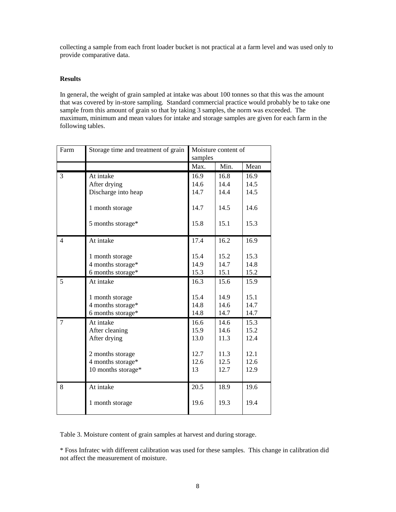collecting a sample from each front loader bucket is not practical at a farm level and was used only to provide comparative data.

# **Results**

In general, the weight of grain sampled at intake was about 100 tonnes so that this was the amount that was covered by in-store sampling. Standard commercial practice would probably be to take one sample from this amount of grain so that by taking 3 samples, the norm was exceeded. The maximum, minimum and mean values for intake and storage samples are given for each farm in the following tables.

| Farm           | Storage time and treatment of grain | Moisture content of |      |      |
|----------------|-------------------------------------|---------------------|------|------|
|                |                                     | samples             |      |      |
|                |                                     | Max.                | Min. | Mean |
| 3              | At intake                           | 16.9                | 16.8 | 16.9 |
|                | After drying                        | 14.6                | 14.4 | 14.5 |
|                | Discharge into heap                 | 14.7                | 14.4 | 14.5 |
|                | 1 month storage                     | 14.7                | 14.5 | 14.6 |
|                | 5 months storage*                   | 15.8                | 15.1 | 15.3 |
| $\overline{4}$ | At intake                           | 17.4                | 16.2 | 16.9 |
|                | 1 month storage                     | 15.4                | 15.2 | 15.3 |
|                | 4 months storage*                   | 14.9                | 14.7 | 14.8 |
|                | 6 months storage*                   | 15.3                | 15.1 | 15.2 |
| 5              | At intake                           | 16.3                | 15.6 | 15.9 |
|                | 1 month storage                     | 15.4                | 14.9 | 15.1 |
|                | 4 months storage*                   | 14.8                | 14.6 | 14.7 |
|                | 6 months storage*                   | 14.8                | 14.7 | 14.7 |
| $\overline{7}$ | At intake                           | 16.6                | 14.6 | 15.3 |
|                | After cleaning                      | 15.9                | 14.6 | 15.2 |
|                | After drying                        | 13.0                | 11.3 | 12.4 |
|                | 2 months storage                    | 12.7                | 11.3 | 12.1 |
|                | 4 months storage*                   | 12.6                | 12.5 | 12.6 |
|                | 10 months storage*                  | 13                  | 12.7 | 12.9 |
| 8              | At intake                           | 20.5                | 18.9 | 19.6 |
|                | 1 month storage                     | 19.6                | 19.3 | 19.4 |

Table 3. Moisture content of grain samples at harvest and during storage.

\* Foss Infratec with different calibration was used for these samples. This change in calibration did not affect the measurement of moisture.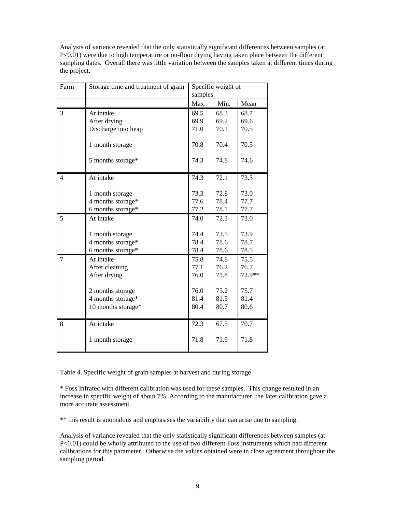Analysis of variance revealed that the only statistically significant differences between samples (at P<0.01) were due to high temperature or on-floor drying having taken place between the different sampling dates. Overall there was little variation between the samples taken at different times during the project.

| Farm | Storage time and treatment of grain | Specific weight of |      |        |
|------|-------------------------------------|--------------------|------|--------|
|      |                                     | samples            |      |        |
|      |                                     | Max.               | Min. | Mean   |
| 3    | At intake                           | 69.5               | 68.3 | 68.7   |
|      | After drying                        | 69.9               | 69.2 | 69.6   |
|      | Discharge into heap                 | 71.0               | 70.1 | 70.5   |
|      | 1 month storage                     | 70.8               | 70.4 | 70.5   |
|      | 5 months storage*                   | 74.3               | 74.8 | 74.6   |
| 4    | At intake                           | 74.3               | 72.1 | 73.3   |
|      | 1 month storage                     | 73.3               | 72.8 | 73.0   |
|      | 4 months storage*                   | 77.6               | 78.4 | 77.7   |
|      | 6 months storage*                   | 77.2               | 78.1 | 77.7   |
| 5    | At intake                           | 74.0               | 72.3 | 73.0   |
|      | 1 month storage                     | 74.4               | 73.5 | 73.9   |
|      | 4 months storage*                   | 78.4               | 78.6 | 78.7   |
|      | 6 months storage*                   | 78.4               | 78.6 | 78.5   |
| 7    | At intake                           | 75.8               | 74.8 | 75.5   |
|      | After cleaning                      | 77.1               | 76.2 | 76.7   |
|      | After drying                        | 76.0               | 71.8 | 72.9** |
|      | 2 months storage                    | 76.0               | 75.2 | 75.7   |
|      | 4 months storage*                   | 81.4               | 81.3 | 81.4   |
|      | 10 months storage*                  | 80.4               | 80.7 | 80.6   |
| 8    | At intake                           | 72.3               | 67.5 | 70.7   |
|      | 1 month storage                     | 71.8               | 71.9 | 71.8   |

Table 4. Specific weight of grain samples at harvest and during storage.

\* Foss Infratec with different calibration was used for these samples. This change resulted in an increase in specific weight of about 7%. According to the manufacturer, the later calibration gave a more accurate assessment.

\*\* this result is anomalous and emphasises the variability that can arise due to sampling.

Analysis of variance revealed that the only statistically significant differences between samples (at P<0.01) could be wholly attributed to the use of two different Foss instruments which had different calibrations for this parameter. Otherwise the values obtained were in close agreement throughout the sampling period.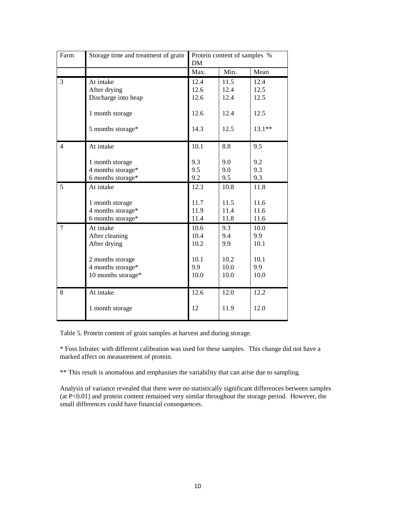| Farm           | Storage time and treatment of grain    | Protein content of samples %<br><b>DM</b> |              |              |
|----------------|----------------------------------------|-------------------------------------------|--------------|--------------|
|                |                                        | Max.                                      | Min.         | Mean         |
| 3              | At intake<br>After drying              | 12.4<br>12.6                              | 11.5<br>12.4 | 12.4<br>12.5 |
|                | Discharge into heap<br>1 month storage | 12.6<br>12.6                              | 12.4<br>12.4 | 12.5<br>12.5 |
|                | 5 months storage*                      | 14.3                                      | 12.5         | $13.1**$     |
| $\overline{4}$ | At intake                              | 10.1                                      | 8.8          | 9.5          |
|                | 1 month storage                        | 9.3                                       | 9.0          | 9.2          |
|                | 4 months storage*                      | 9.5                                       | 9.0          | 9.3          |
|                | 6 months storage*                      | 9.2                                       | 9.5          | 9.3          |
| 5              | At intake                              | 12.3                                      | 10.8         | 11.8         |
|                | 1 month storage                        | 11.7                                      | 11.5         | 11.6         |
|                | 4 months storage*                      | 11.9                                      | 11.4         | 11.6         |
|                | 6 months storage*                      | 11.4                                      | 11.8         | 11.6         |
| $\tau$         | At intake                              | 10.6                                      | 9.3          | 10.0         |
|                | After cleaning                         | 10.4                                      | 9.4          | 9.9          |
|                | After drying                           | 10.2                                      | 9.9          | 10.1         |
|                | 2 months storage                       | 10.1                                      | 10.2         | 10.1         |
|                | 4 months storage*                      | 9.9                                       | 10.0         | 9.9          |
|                | 10 months storage*                     | 10.0                                      | 10.0         | 10.0         |
| 8              | At intake                              | 12.6                                      | 12.0         | 12.2         |
|                | 1 month storage                        | 12                                        | 11.9         | 12.0         |

Table 5. Protein content of grain samples at harvest and during storage.

\* Foss Infratec with different calibration was used for these samples. This change did not have a marked affect on measurement of protein.

\*\* This result is anomalous and emphasises the variability that can arise due to sampling.

Analysis of variance revealed that there were no statistically significant differences between samples (at P<0.01) and protein content remained very similar throughout the storage period. However, the small differences could have financial consequences.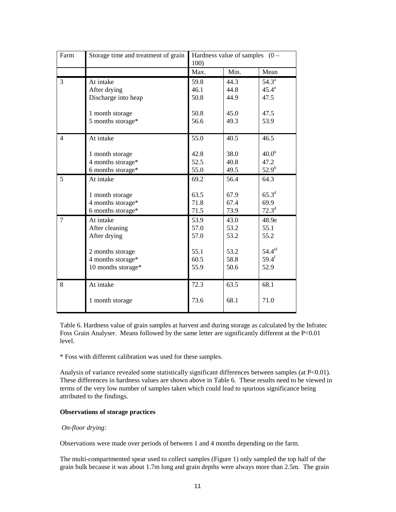| Farm           | Storage time and treatment of grain | Hardness value of samples $(0 -$<br>100) |      |                    |
|----------------|-------------------------------------|------------------------------------------|------|--------------------|
|                |                                     | Max.                                     | Min. | Mean               |
| 3              | At intake                           | 59.8                                     | 44.3 | 54.3 <sup>a</sup>  |
|                | After drying                        | 46.1                                     | 44.8 | $45.4^{\circ}$     |
|                | Discharge into heap                 | 50.8                                     | 44.9 | 47.5               |
|                | 1 month storage                     | 50.8                                     | 45.0 | 47.5               |
|                | 5 months storage*                   | 56.6                                     | 49.3 | 53.9               |
| $\overline{4}$ | At intake                           | 55.0                                     | 40.5 | 46.5               |
|                | 1 month storage                     | 42.8                                     | 38.0 | 40.0 <sup>b</sup>  |
|                | 4 months storage*                   | 52.5                                     | 40.8 | 47.2               |
|                | 6 months storage*                   | 55.0                                     | 49.5 | $52.9^{b}$         |
| 5              | At intake                           | 69.2                                     | 56.4 | 64.3               |
|                | 1 month storage                     | 63.5                                     | 67.9 | $65.3^{d}$         |
|                | 4 months storage*                   | 71.8                                     | 67.4 | 69.9               |
|                | 6 months storage*                   | 71.5                                     | 73.9 | $72.3^d$           |
| 7              | At intake                           | 53.9                                     | 43.0 | 48.9e              |
|                | After cleaning                      | 57.0                                     | 53.2 | 55.1               |
|                | After drying                        | 57.0                                     | 53.2 | 55.2               |
|                | 2 months storage                    | 55.1                                     | 53.2 | 54.4 <sup>ef</sup> |
|                | 4 months storage*                   | 60.5                                     | 58.8 | $59.4^{f}$         |
|                | 10 months storage*                  | 55.9                                     | 50.6 | 52.9               |
| 8              | At intake                           | 72.3                                     | 63.5 | 68.1               |
|                | 1 month storage                     | 73.6                                     | 68.1 | 71.0               |

Table 6. Hardness value of grain samples at harvest and during storage as calculated by the Infratec Foss Grain Analyser. Means followed by the same letter are significantly different at the P<0.01 level.

\* Foss with different calibration was used for these samples.

Analysis of variance revealed some statistically significant differences between samples (at P<0.01). These differences in hardness values are shown above in Table 6. These results need to be viewed in terms of the very low number of samples taken which could lead to spurious significance being attributed to the findings.

# **Observations of storage practices**

#### *On-floor drying:*

Observations were made over periods of between 1 and 4 months depending on the farm.

The multi-compartmented spear used to collect samples (Figure 1) only sampled the top half of the grain bulk because it was about 1.7m long and grain depths were always more than 2.5m. The grain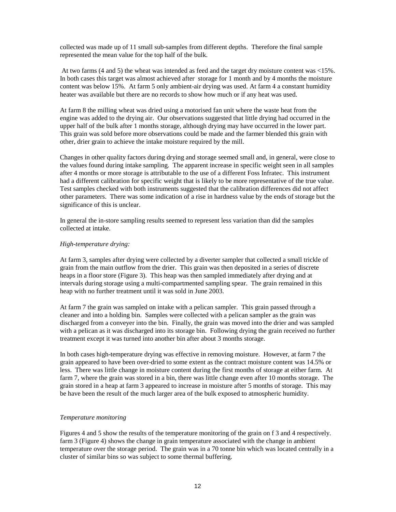collected was made up of 11 small sub-samples from different depths. Therefore the final sample represented the mean value for the top half of the bulk.

 At two farms (4 and 5) the wheat was intended as feed and the target dry moisture content was <15%. In both cases this target was almost achieved after storage for 1 month and by 4 months the moisture content was below 15%. At farm 5 only ambient-air drying was used. At farm 4 a constant humidity heater was available but there are no records to show how much or if any heat was used.

At farm 8 the milling wheat was dried using a motorised fan unit where the waste heat from the engine was added to the drying air. Our observations suggested that little drying had occurred in the upper half of the bulk after 1 months storage, although drying may have occurred in the lower part. This grain was sold before more observations could be made and the farmer blended this grain with other, drier grain to achieve the intake moisture required by the mill.

Changes in other quality factors during drying and storage seemed small and, in general, were close to the values found during intake sampling. The apparent increase in specific weight seen in all samples after 4 months or more storage is attributable to the use of a different Foss Infratec. This instrument had a different calibration for specific weight that is likely to be more representative of the true value. Test samples checked with both instruments suggested that the calibration differences did not affect other parameters. There was some indication of a rise in hardness value by the ends of storage but the significance of this is unclear.

In general the in-store sampling results seemed to represent less variation than did the samples collected at intake.

#### *High-temperature drying:*

At farm 3, samples after drying were collected by a diverter sampler that collected a small trickle of grain from the main outflow from the drier. This grain was then deposited in a series of discrete heaps in a floor store (Figure 3). This heap was then sampled immediately after drying and at intervals during storage using a multi-compartmented sampling spear. The grain remained in this heap with no further treatment until it was sold in June 2003.

At farm 7 the grain was sampled on intake with a pelican sampler. This grain passed through a cleaner and into a holding bin. Samples were collected with a pelican sampler as the grain was discharged from a conveyer into the bin. Finally, the grain was moved into the drier and was sampled with a pelican as it was discharged into its storage bin. Following drying the grain received no further treatment except it was turned into another bin after about 3 months storage.

In both cases high-temperature drying was effective in removing moisture. However, at farm 7 the grain appeared to have been over-dried to some extent as the contract moisture content was 14.5% or less. There was little change in moisture content during the first months of storage at either farm. At farm 7, where the grain was stored in a bin, there was little change even after 10 months storage. The grain stored in a heap at farm 3 appeared to increase in moisture after 5 months of storage. This may be have been the result of the much larger area of the bulk exposed to atmospheric humidity.

#### *Temperature monitoring*

Figures 4 and 5 show the results of the temperature monitoring of the grain on f 3 and 4 respectively. farm 3 (Figure 4) shows the change in grain temperature associated with the change in ambient temperature over the storage period. The grain was in a 70 tonne bin which was located centrally in a cluster of similar bins so was subject to some thermal buffering.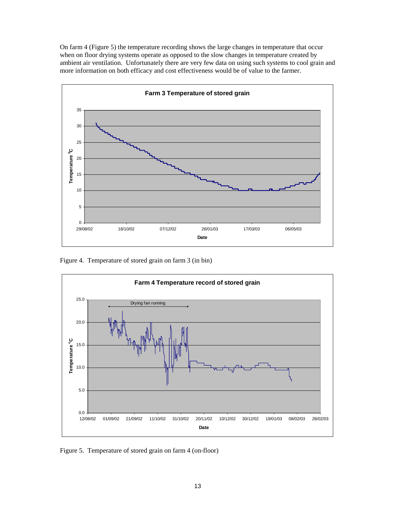On farm 4 (Figure 5) the temperature recording shows the large changes in temperature that occur when on floor drying systems operate as opposed to the slow changes in temperature created by ambient air ventilation. Unfortunately there are very few data on using such systems to cool grain and more information on both efficacy and cost effectiveness would be of value to the farmer.



Figure 4. Temperature of stored grain on farm 3 (in bin)



Figure 5. Temperature of stored grain on farm 4 (on-floor)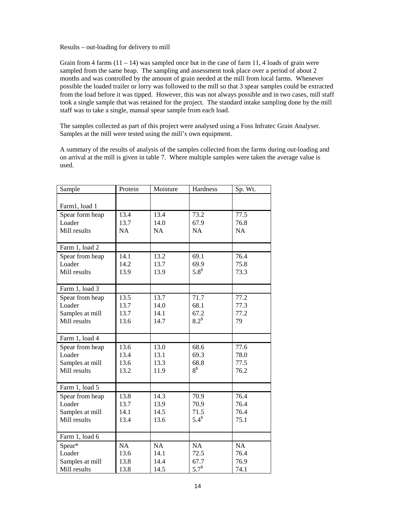#### Results – out-loading for delivery to mill

Grain from 4 farms  $(11 - 14)$  was sampled once but in the case of farm 11, 4 loads of grain were sampled from the same heap. The sampling and assessment took place over a period of about 2 months and was controlled by the amount of grain needed at the mill from local farms. Whenever possible the loaded trailer or lorry was followed to the mill so that 3 spear samples could be extracted from the load before it was tipped. However, this was not always possible and in two cases, mill staff took a single sample that was retained for the project. The standard intake sampling done by the mill staff was to take a single, manual spear sample from each load.

The samples collected as part of this project were analysed using a Foss Infratec Grain Analyser. Samples at the mill were tested using the mill's own equipment.

A summary of the results of analysis of the samples collected from the farms during out-loading and on arrival at the mill is given in table 7. Where multiple samples were taken the average value is used.

| Sample          | Protein   | Moisture | Hardness   | Sp. Wt. |
|-----------------|-----------|----------|------------|---------|
|                 |           |          |            |         |
| Farm1, load 1   |           |          |            |         |
| Spear form heap | 13.4      | 13.4     | 73.2       | 77.5    |
| Loader          | 13.7      | 14.0     | 67.9       | 76.8    |
| Mill results    | <b>NA</b> | NA       | NA         | NA      |
|                 |           |          |            |         |
| Farm 1, load 2  |           |          |            |         |
| Spear from heap | 14.1      | 13.2     | 69.1       | 76.4    |
| Loader          | 14.2      | 13.7     | 69.9       | 75.8    |
| Mill results    | 13.9      | 13.9     | $5.8^{\$}$ | 73.3    |
|                 |           |          |            |         |
| Farm 1, load 3  |           |          |            |         |
| Spear from heap | 13.5      | 13.7     | 71.7       | 77.2    |
| Loader          | 13.7      | 14.0     | 68.1       | 77.3    |
| Samples at mill | 13.7      | 14.1     | 67.2       | 77.2    |
| Mill results    | 13.6      | 14.7     | $8.2^{\$}$ | 79      |
|                 |           |          |            |         |
| Farm 1, load 4  |           |          |            |         |
| Spear from heap | 13.6      | 13.0     | 68.6       | 77.6    |
| Loader          | 13.4      | 13.1     | 69.3       | 78.0    |
| Samples at mill | 13.6      | 13.3     | 68.8       | 77.5    |
| Mill results    | 13.2      | 11.9     | $8^{\$}$   | 76.2    |
|                 |           |          |            |         |
| Farm 1, load 5  |           |          |            |         |
| Spear from heap | 13.8      | 14.3     | 70.9       | 76.4    |
| Loader          | 13.7      | 13.9     | 70.9       | 76.4    |
| Samples at mill | 14.1      | 14.5     | 71.5       | 76.4    |
| Mill results    | 13.4      | 13.6     | $5.4^{\$}$ | 75.1    |
|                 |           |          |            |         |
| Farm 1, load 6  |           |          |            |         |
| Spear*          | NA        | NA       | NA         | NA      |
| Loader          | 13.6      | 14.1     | 72.5       | 76.4    |
| Samples at mill | 13.8      | 14.4     | 67.7       | 76.9    |
| Mill results    | 13.8      | 14.5     | $5.7^{\$}$ | 74.1    |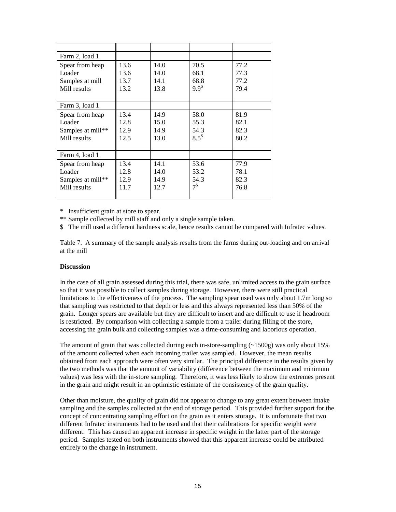| Farm 2, load 1    |      |      |               |      |
|-------------------|------|------|---------------|------|
| Spear from heap   | 13.6 | 14.0 | 70.5          | 77.2 |
| Loader            | 13.6 | 14.0 | 68.1          | 77.3 |
| Samples at mill   | 13.7 | 14.1 | 68.8          | 77.2 |
| Mill results      | 13.2 | 13.8 | $9.9^{\$}$    | 79.4 |
|                   |      |      |               |      |
| Farm 3, load 1    |      |      |               |      |
| Spear from heap   | 13.4 | 14.9 | 58.0          | 81.9 |
| Loader            | 12.8 | 15.0 | 55.3          | 82.1 |
| Samples at mill** | 12.9 | 14.9 | 54.3          | 82.3 |
| Mill results      | 12.5 | 13.0 | $8.5^{\circ}$ | 80.2 |
|                   |      |      |               |      |
| Farm 4, load 1    |      |      |               |      |
| Spear from heap   | 13.4 | 14.1 | 53.6          | 77.9 |
| Loader            | 12.8 | 14.0 | 53.2          | 78.1 |
| Samples at mill** | 12.9 | 14.9 | 54.3          | 82.3 |
| Mill results      | 11.7 | 12.7 | $7^{\$}$      | 76.8 |
|                   |      |      |               |      |

\* Insufficient grain at store to spear.

\*\* Sample collected by mill staff and only a single sample taken.

\$ The mill used a different hardness scale, hence results cannot be compared with Infratec values.

Table 7. A summary of the sample analysis results from the farms during out-loading and on arrival at the mill

#### **Discussion**

In the case of all grain assessed during this trial, there was safe, unlimited access to the grain surface so that it was possible to collect samples during storage. However, there were still practical limitations to the effectiveness of the process. The sampling spear used was only about 1.7m long so that sampling was restricted to that depth or less and this always represented less than 50% of the grain. Longer spears are available but they are difficult to insert and are difficult to use if headroom is restricted. By comparison with collecting a sample from a trailer during filling of the store, accessing the grain bulk and collecting samples was a time-consuming and laborious operation.

The amount of grain that was collected during each in-store-sampling  $(\sim 1500g)$  was only about 15% of the amount collected when each incoming trailer was sampled. However, the mean results obtained from each approach were often very similar. The principal difference in the results given by the two methods was that the amount of variability (difference between the maximum and minimum values) was less with the in-store sampling. Therefore, it was less likely to show the extremes present in the grain and might result in an optimistic estimate of the consistency of the grain quality.

Other than moisture, the quality of grain did not appear to change to any great extent between intake sampling and the samples collected at the end of storage period. This provided further support for the concept of concentrating sampling effort on the grain as it enters storage. It is unfortunate that two different Infratec instruments had to be used and that their calibrations for specific weight were different. This has caused an apparent increase in specific weight in the latter part of the storage period. Samples tested on both instruments showed that this apparent increase could be attributed entirely to the change in instrument.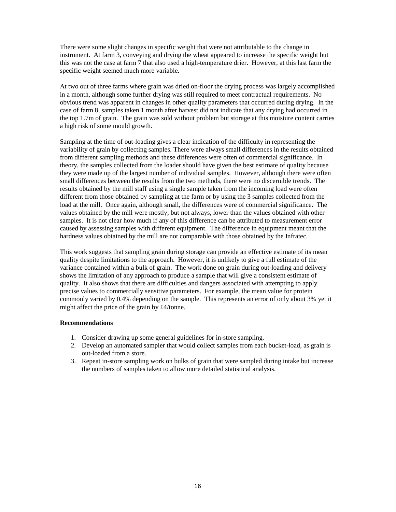There were some slight changes in specific weight that were not attributable to the change in instrument. At farm 3, conveying and drying the wheat appeared to increase the specific weight but this was not the case at farm 7 that also used a high-temperature drier. However, at this last farm the specific weight seemed much more variable.

At two out of three farms where grain was dried on-floor the drying process was largely accomplished in a month, although some further drying was still required to meet contractual requirements. No obvious trend was apparent in changes in other quality parameters that occurred during drying. In the case of farm 8, samples taken 1 month after harvest did not indicate that any drying had occurred in the top 1.7m of grain. The grain was sold without problem but storage at this moisture content carries a high risk of some mould growth.

Sampling at the time of out-loading gives a clear indication of the difficulty in representing the variability of grain by collecting samples. There were always small differences in the results obtained from different sampling methods and these differences were often of commercial significance. In theory, the samples collected from the loader should have given the best estimate of quality because they were made up of the largest number of individual samples. However, although there were often small differences between the results from the two methods, there were no discernible trends. The results obtained by the mill staff using a single sample taken from the incoming load were often different from those obtained by sampling at the farm or by using the 3 samples collected from the load at the mill. Once again, although small, the differences were of commercial significance. The values obtained by the mill were mostly, but not always, lower than the values obtained with other samples. It is not clear how much if any of this difference can be attributed to measurement error caused by assessing samples with different equipment. The difference in equipment meant that the hardness values obtained by the mill are not comparable with those obtained by the Infratec.

This work suggests that sampling grain during storage can provide an effective estimate of its mean quality despite limitations to the approach. However, it is unlikely to give a full estimate of the variance contained within a bulk of grain. The work done on grain during out-loading and delivery shows the limitation of any approach to produce a sample that will give a consistent estimate of quality. It also shows that there are difficulties and dangers associated with attempting to apply precise values to commercially sensitive parameters. For example, the mean value for protein commonly varied by 0.4% depending on the sample. This represents an error of only about 3% yet it might affect the price of the grain by £4/tonne.

# **Recommendations**

- 1. Consider drawing up some general guidelines for in-store sampling.
- 2. Develop an automated sampler that would collect samples from each bucket-load, as grain is out-loaded from a store.
- 3. Repeat in-store sampling work on bulks of grain that were sampled during intake but increase the numbers of samples taken to allow more detailed statistical analysis.